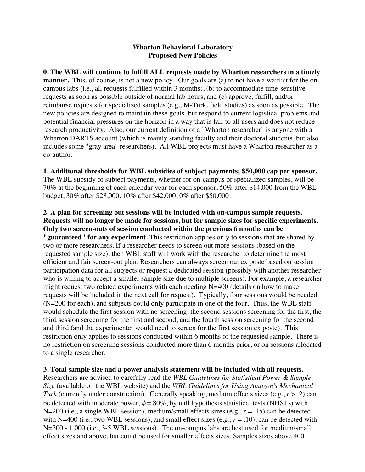## **Wharton Behavioral Laboratory Proposed New Policies**

**0. The WBL will continue to fulfill ALL requests made by Wharton researchers in a timely manner.** This, of course, is not a new policy. Our goals are (a) to not have a waitlist for the oncampus labs (i.e., all requests fulfilled within 3 months), (b) to accommodate time-sensitive requests as soon as possible outside of normal lab hours, and (c) approve, fulfill, and/or reimburse requests for specialized samples (e.g., M-Turk, field studies) as soon as possible. The new policies are designed to maintain these goals, but respond to current logistical problems and potential financial pressures on the horizon in a way that is fair to all users and does not reduce research productivity. Also, our current definition of a "Wharton researcher" is anyone with a Wharton DARTS account (which is mainly standing faculty and their doctoral students, but also includes some "gray area" researchers). All WBL projects must have a Wharton researcher as a co-author.

**1. Additional thresholds for WBL subsidies of subject payments; \$50,000 cap per sponsor.** The WBL subsidy of subject payments, whether for on-campus or specialized samples, will be 70% at the beginning of each calendar year for each sponsor, 50% after \$14,000 from the WBL budget, 30% after \$28,000, 10% after \$42,000, 0% after \$50,000.

**2. A plan for screening out sessions will be included with on-campus sample requests. Requests will no longer be made for sessions, but for sample sizes for specific experiments. Only two screen-outs of session conducted within the previous 6 months can be "guaranteed" for any experiment.** This restriction applies only to sessions that are shared by two or more researchers. If a researcher needs to screen out more sessions (based on the requested sample size), then WBL staff will work with the researcher to determine the most efficient and fair screen-out plan. Researchers can always screen out ex poste based on session participation data for all subjects or request a dedicated session (possibly with another researcher who is willing to accept a smaller sample size due to multiple screens). For example, a researcher might request two related experiments with each needing  $N=400$  (details on how to make requests will be included in the next call for request). Typically, four sessions would be needed (N=200 for each), and subjects could only participate in one of the four. Thus, the WBL staff would schedule the first session with no screening, the second sessions screening for the first, the third session screening for the first and second, and the fourth session screening for the second and third (and the experimenter would need to screen for the first session ex poste). This restriction only applies to sessions conducted within 6 months of the requested sample. There is no restriction on screening sessions conducted more than 6 months prior, or on sessions allocated to a single researcher.

## **3. Total sample size and a power analysis statement will be included with all requests.**

Researchers are advised to carefully read the *WBL Guidelines for Statistical Power & Sample Size* (available on the WBL website) and the *WBL Guidelines for Using Amazon's Mechanical Turk* (currently under construction). Generally speaking, medium effects sizes (e.g.,  $r > .2$ ) can be detected with moderate power,  $\phi = 80\%$ , by null hypothesis statistical tests (NHSTs) with N=200 (i.e., a single WBL session), medium/small effects sizes (e.g., *r* = .15) can be detected with N=400 (i.e., two WBL sessions), and small effect sizes (e.g.,  $r = .10$ ), can be detected with N=500 - 1,000 (i.e., 3-5 WBL sessions). The on-campus labs are best used for medium/small effect sizes and above, but could be used for smaller effects sizes. Samples sizes above 400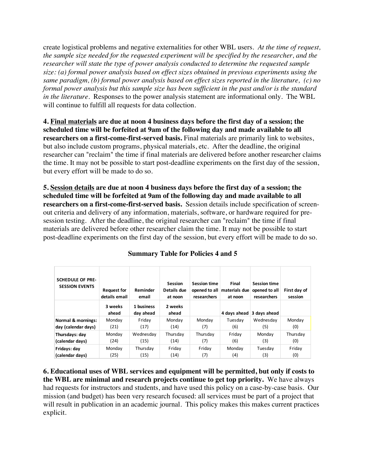create logistical problems and negative externalities for other WBL users. *At the time of request, the sample size needed for the requested experiment will be specified by the researcher, and the researcher will state the type of power analysis conducted to determine the requested sample size: (a) formal power analysis based on effect sizes obtained in previous experiments using the same paradigm, (b) formal power analysis based on effect sizes reported in the literature, (c) no formal power analysis but this sample size has been sufficient in the past and/or is the standard in the literature.* Responses to the power analysis statement are informational only. The WBL will continue to fulfill all requests for data collection.

**4. Final materials are due at noon 4 business days before the first day of a session; the scheduled time will be forfeited at 9am of the following day and made available to all researchers on a first-come-first-served basis.** Final materials are primarily link to websites, but also include custom programs, physical materials, etc. After the deadline, the original researcher can "reclaim" the time if final materials are delivered before another researcher claims the time. It may not be possible to start post-deadline experiments on the first day of the session, but every effort will be made to do so.

**5. Session details are due at noon 4 business days before the first day of a session; the scheduled time will be forfeited at 9am of the following day and made available to all researchers on a first-come-first-served basis.** Session details include specification of screenout criteria and delivery of any information, materials, software, or hardware required for presession testing. After the deadline, the original researcher can "reclaim" the time if final materials are delivered before other researcher claim the time. It may not be possible to start post-deadline experiments on the first day of the session, but every effort will be made to do so.

| <b>SCHEDULE OF PRE-</b><br><b>SESSION EVENTS</b> | <b>Request for</b><br>details email | Reminder<br>email       | <b>Session</b><br>Details due<br>at noon | <b>Session time</b><br>opened to all<br>researchers | Final<br>materials due<br>at noon | <b>Session time</b><br>opened to all<br>researchers | First day of<br>session |
|--------------------------------------------------|-------------------------------------|-------------------------|------------------------------------------|-----------------------------------------------------|-----------------------------------|-----------------------------------------------------|-------------------------|
|                                                  | 3 weeks<br>ahead                    | 1 business<br>day ahead | 2 weeks<br>ahead                         |                                                     | 4 days ahead                      | 3 days ahead                                        |                         |
| <b>Normal &amp; mornings:</b>                    | Monday                              | Friday                  | Mondav                                   | Monday                                              | Tuesdav                           | Wednesdav                                           | Monday                  |
| day (calendar days)                              | (21)                                | (17)                    | (14)                                     | (7)                                                 | (6)                               | (5)                                                 | (0)                     |
| Thursdays: day                                   | Monday                              | Wednesday               | Thursday                                 | Thursday                                            | Friday                            | Monday                                              | Thursday                |
| (calendar days)                                  | (24)                                | (15)                    | (14)                                     | (7)                                                 | (6)                               | (3)                                                 | (0)                     |
| Fridays: day                                     | Monday                              | Thursday                | Friday                                   | Fridav                                              | Monday                            | Tuesdav                                             | Friday                  |
| (calendar days)                                  | (25)                                | (15)                    | (14)                                     | (7)                                                 | (4)                               | (3)                                                 | (0)                     |

**Summary Table for Policies 4 and 5**

**6. Educational uses of WBL services and equipment will be permitted, but only if costs to the WBL are minimal and research projects continue to get top priority.** We have always had requests for instructors and students, and have used this policy on a case-by-case basis. Our mission (and budget) has been very research focused: all services must be part of a project that will result in publication in an academic journal. This policy makes this makes current practices explicit.